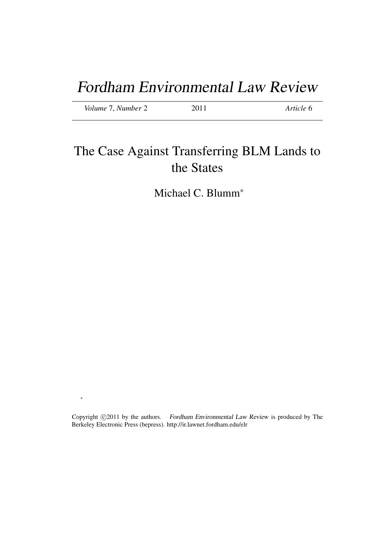# Fordham Environmental Law Review

*Volume* 7, *Number* 2 2011 *Article* 6

∗

# The Case Against Transferring BLM Lands to the States

Michael C. Blumm<sup>\*</sup>

Copyright  $\odot$ 2011 by the authors. Fordham Environmental Law Review is produced by The Berkeley Electronic Press (bepress). http://ir.lawnet.fordham.edu/elr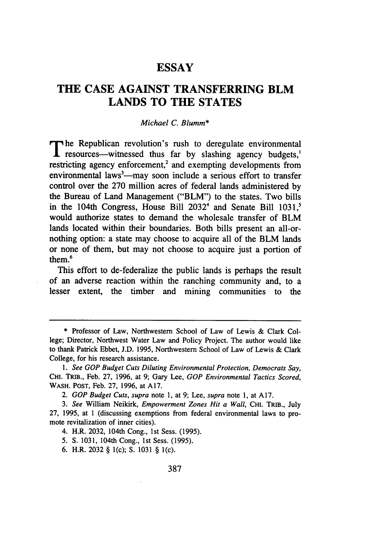# **ESSAY**

# **THE CASE AGAINST TRANSFERRING BLM LANDS TO THE STATES**

## *Michael C. Blumm\**

**T** he Republican revolution's rush to deregulate environmental **1** resources—witnessed thus far by slashing agency budgets,<sup>1</sup> restricting agency enforcement,<sup>2</sup> and exempting developments from environmental laws<sup>3</sup>—may soon include a serious effort to transfer control over the 270 million acres of federal lands administered by the Bureau of Land Management ("BLM") to the states. Two bills in the 104th Congress, House Bill 2032<sup>4</sup> and Senate Bill 1031,<sup>5</sup> would authorize states to demand the wholesale transfer of BLM lands located within their boundaries. Both bills present an all-ornothing option: a state may choose to acquire all of the BLM lands or none of them, but may not choose to acquire just a portion of them.<sup>6</sup>

This effort to de-federalize the public lands is perhaps the result of an adverse reaction within the ranching community and, to a lesser extent, the timber and mining communities to the

4. H.R. 2032, 104th Cong., 1st Sess. (1995).

- 5. S. 1031, 104th Cong., 1st Sess. (1995).
- 6. H.R. 2032 § 1(c); **S.** 1031 § I(c).

**<sup>\*</sup>** Professor of Law, Northwestern School of Law of Lewis **&** Clark College; Director, Northwest Water Law and Policy Project. The author would like to thank Patrick Ebbet, **J.D. 1995,** Northwestern School of Law of Lewis **&** Clark College, for his research assistance.

*<sup>1.</sup> See GOP Budget* Cuts *Diluting Environmental Protection, Democrats Say,* CHI. TRIB., Feb. 27, 1996, at 9; Gary Lee, *GOP Environmental Tactics Scored,* WASH. **POST,** Feb. 27, 1996, at A17.

<sup>2.</sup> *GOP Budget Cuts, supra* note 1, at 9; Lee, *supra* note 1, at A17.

*<sup>3.</sup> See* William Neikirk, *Empowerment Zones Hit a Wall,* **CHI.** TRIB., July 27, 1995, at 1 (discussing exemptions from federal environmental laws to promote revitalization of inner cities).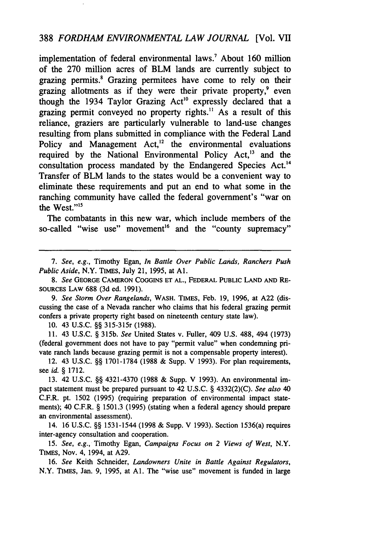# 388 *FORDHAM ENVIRONMENTAL LAW JOURNAL* [Vol. VII

implementation of federal environmental laws.<sup>7</sup> About 160 million of the 270 million acres of BLM lands are currently subject to grazing permits.' Grazing permitees have come to rely on their grazing allotments as if they were their private property,<sup>9</sup> even though the 1934 Taylor Grazing  $Act^{10}$  expressly declared that a grazing permit conveyed no property rights." As a result of this reliance, graziers are particularly vulnerable to land-use changes resulting from plans submitted in compliance with the Federal Land Policy and Management  $Act<sub>1</sub><sup>12</sup>$  the environmental evaluations required by the National Environmental Policy  $Act$ ,<sup>13</sup> and the consultation process mandated by the Endangered Species Act.'<sup>4</sup> Transfer of BLM lands to the states would be a convenient way to eliminate these requirements and put an end to what some in the ranching community have called the federal government's "war on the West."<sup>15</sup>

The combatants in this new war, which include members of the so-called "wise use" movement<sup>16</sup> and the "county supremacy"

7. *See, e.g.,* Timothy Egan, *In Battle Over Public Lands, Ranchers Push Public Aside,* N.Y. TIMES, July 21, 1995, at **Al.**

*8. See* GEORGE CAMERON COGGINS ET **AL.,** FEDERAL PUBLIC LAND **AND** RE-SOURCES LAW **688 (3d** ed. **1991).**

*9. See Storm Over Rangelands,* WASH. TIMES, Feb. **19, 1996,** at **A22** (discussing the case of a Nevada rancher who claims that his federal grazing permit confers a private property right based on nineteenth century state law).

**10.** 43 **U.S.C.** §§ 315-315r **(1988).**

**11.** 43 **U.S.C.** § *315b. See* United States v. Fuller, 409 **U.S. 488,** 494 **(1973)** (federal government does not have to pay "permit value" when condemning private ranch lands because grazing permit is not a compensable property interest).

12. 43 **U.S.C.** §§ **1701-1784 (1988 &** Supp. V 1993). For plan requirements, see *id.* § **1712.**

**13.** 42 **U.S.C.** §§ 4321-4370 **(1988 &** Supp. V **1993).** An environmental impact statement must be prepared pursuant to 42 **U.S.C.** § 4332(2)(C). *See also 40* C.F.R. pt. 1502 **(1995)** (requiring preparation of environmental impact statements); 40 C.F.R. § 1501.3 (1995) (stating when a federal agency should prepare an environmental assessment).

14. 16 **U.S.C.** §§ 1531-1544 **(1998 &** Supp. V **1993).** Section 1536(a) requires inter-agency consultation and cooperation.

**15.** *See, e.g.,* Timothy Egan, *Campaigns Focus on 2 Views of West,* N.Y. **TIMES,** Nov. 4, 1994, at **A29.**

16. *See* Keith Schneider, *Landowners Unite in Battle Against Regulators,* N.Y. TIMES, Jan. 9, 1995, at **Al.** The "wise use" movement is funded in large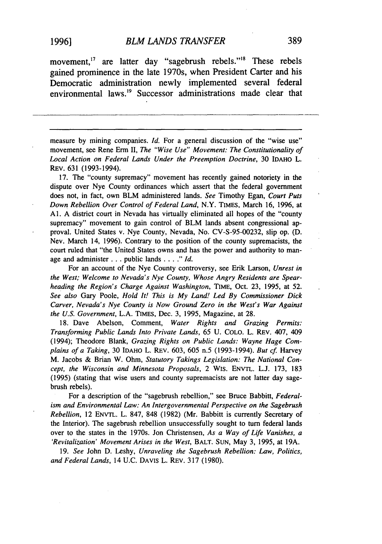movement,<sup>17</sup> are latter day "sagebrush rebels."<sup>18</sup> These rebels gained prominence in the late 1970s, when President Carter and his Democratic administration newly implemented several federal environmental laws.<sup>19</sup> Successor administrations made clear that

measure by mining companies. *Id*. For a general discussion of the "wise use" movement, see Rene Erm II, *The "Wise Use" Movement: The Constitutionality of Local Action on Federal Lands Under the Preemption Doctrine,* 30 IDAHO L. REV. 631 (1993-1994).

17. The "county supremacy" movement has recently gained notoriety in the dispute over Nye County ordinances which assert that the federal government does not, in fact, own BLM administered lands. *See* Timothy Egan, *Court Puts Down Rebellion Over Control of Federal Land,* N.Y. TIMES, March 16, 1996, at **Al.** A district court in Nevada has virtually eliminated all hopes of the "county supremacy" movement to gain control of BLM lands absent congressional approval. United States v. Nye County, Nevada, No. CV-S-95-00232, slip op. (D. Nev. March 14, 1996). Contrary to the position of the county supremacists, the court ruled that "the United States owns and has the power and authority to manage and administer **...** public lands **...."** *Id.*

For an account of the Nye County controversy, see Erik Larson, *Unrest in the West; Welcome to Nevada's Nye County, Whose Angry Residents are Spearheading the Region's Charge Against Washington,* TIME, Oct. 23, 1995, at 52. *See also* Gary Poole, *Hold It! This is My Land! Led By Commissioner Dick Carver, Nevada's Nye County is Now Ground Zero in the West's War Against the U.S. Government,* L.A. **TIMES,** Dec. 3, 1995, Magazine, at 28.

18. Dave Abelson, Comment, *Water Rights and Grazing Permits: Transforming Public Lands Into Private Lands,* 65 U. COLO. L. REV. 407, 409 (1994); Theodore Blank, *Grazing Rights on Public Lands: Wayne Hage Complains of a Taking,* 30 IDAHO L. REV. 603, 605 n.5 (1993-1994). *But cf* Harvey M. Jacobs & Brian W. Ohm, *Statutory Takings Legislation: The National Concept, the Wisconsin and Minnesota Proposals,* 2 WIs. **ENVTL.** L.J. 173, 183 (1995) (stating that wise users and county supremacists are not latter day sagebrush rebels).

For a description of the "sagebrush rebellion," see Bruce Babbitt, *Federalism and Environmental Law: An Intergovernmental Perspective on the Sagebrush Rebellion,* 12 ENVTL. L. 847, 848 (1982) (Mr. Babbitt is currently Secretary of the Interior). The sagebrush rebellion unsuccessfully sought to turn federal lands over to the states in the 1970s. Jon Christensen, *As a Way of Life Vanishes, a 'Revitalization' Movement Arises in the West,* BALT. **SUN,** May 3, 1995, at 19A.

19. *See* John D. Leshy, *Unraveling the Sagebrush Rebellion: Law, Politics, and Federal Lands,* 14 U.C. DAVIS L. REV. 317 (1980).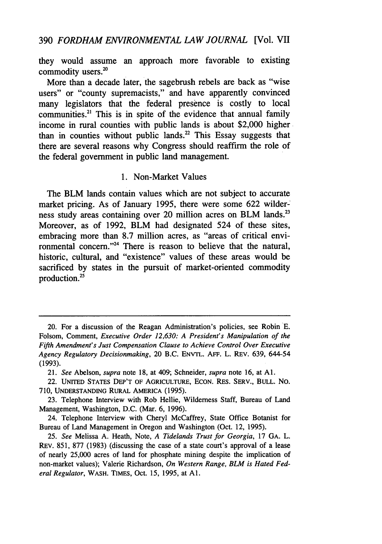they would assume an approach more favorable to existing commodity users.<sup>20</sup>

More than a decade later, the sagebrush rebels are back as "wise users" or "county supremacists," and have apparently convinced many legislators that the federal presence is costly to local communities.<sup>21</sup> This is in spite of the evidence that annual family income in rural counties with public lands is about \$2,000 higher than in counties without public lands. $22$  This Essay suggests that there are several reasons why Congress should reaffirm the role of the federal government in public land management.

## 1. Non-Market Values

The BLM lands contain values which are not subject to accurate market pricing. As of January 1995, there were some 622 wilder-' ness study areas containing over 20 million acres on BLM lands.<sup>23</sup> Moreover, as of 1992, BLM had designated 524 of these sites, embracing more than 8.7 million acres, as "areas of critical environmental concern."24 There is reason to believe that the natural, historic, cultural, and "existence" values of these areas would be sacrificed by states in the pursuit of market-oriented commodity production.25

<sup>20.</sup> For a discussion of the Reagan Administration's policies, see Robin E. Folsom, Comment, *Executive Order 12,630: A President's Manipulation of the Fifth Amendment's Just Compensation Clause to Achieve Control Over Executive Agency Regulatory Decisionmaking,* 20 B.C. ENVTL. AFF. L. REv. 639, 644-54 (1993).

<sup>21.</sup> *See* Abelson, *supra* note 18, at 409; Schneider, *supra* note 16, at **Al.**

<sup>22.</sup> UNITED STATES DEP'T OF AGRICULTURE, ECON. RES. SERV., BULL. No. 710, UNDERSTANDING RURAL AMERICA (1995).

<sup>23.</sup> Telephone Interview with Rob Hellie, Wilderness Staff, Bureau of Land Management, Washington, D.C. (Mar. 6, 1996).

<sup>24.</sup> Telephone Interview with Cheryl McCaffrey, State Office Botanist for Bureau of Land Management in Oregon and Washington (Oct. 12, 1995).

<sup>25.</sup> *See* Melissa A. Heath, Note, *A Tidelands Trust for Georgia,* 17 GA. L. REv. 851, 877 (1983) (discussing the case of a state court's approval of a lease of nearly 25,000 acres of land for phosphate mining despite the implication of non-market values); Valerie Richardson, *On Western Range, BLM is Hated Federal Regulator,* WASH. TIMES, Oct. 15, 1995, at **Al.**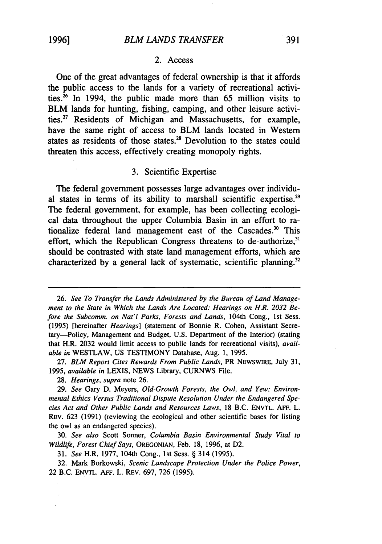#### 2. Access

One of the great advantages of federal ownership is that it affords the public access to the lands for a variety of recreational activities. $^{26}$  In 1994, the public made more than 65 million visits to BLM lands for hunting, fishing, camping, and other leisure activities.27 Residents of Michigan and Massachusetts, for example, have the same right of access to BLM lands located in Western states as residents of those states.<sup>28</sup> Devolution to the states could threaten this access, effectively creating monopoly rights.

# 3. Scientific Expertise

The federal government possesses large advantages over individual states in terms of its ability to marshall scientific expertise.<sup>29</sup> The federal government, for example, has been collecting ecological data throughout the upper Columbia Basin in an effort to rationalize federal land management east of the Cascades.<sup>30</sup> This effort, which the Republican Congress threatens to de-authorize,<sup>31</sup> should be contrasted with state land management efforts, which are characterized by a general lack of systematic, scientific planning.<sup>32</sup>

27. *BLM Report Cites Rewards From Public Lands,* PR NEWSWIRE, July 31, 1995, *available in* LEXIS, NEWS Library, CURNWS File.

28. *Hearings, supra* note 26.

29. *See* Gary D. Meyers, *Old-Growth Forests, the Owl, and Yew: Environmental Ethics Versus Traditional Dispute Resolution Under the Endangered Species Act and Other Public Lands and Resources Laws,* 18 B.C. ENVTL. **AFF.** L. REv. 623 (1991) (reviewing the ecological and other scientific bases for listing the owl as an endangered species).

30. *See also* Scott Sonner, *Columbia Basin Environmental Study Vital to Wildlife, Forest Chief Says,* OREGONIAN, Feb. 18, 1996, at D2.

31. *See* H.R. 1977, 104th Cong., 1st Sess. § 314 (1995).

32. Mark Borkowski, *Scenic Landscape Protection Under the Police Power,* 22 B.C. **ENVTL.** AFF. L. REv. 697, 726 (1995).

<sup>26.</sup> *See To Transfer the Lands Administered by the Bureau of Land Management to the State in Which the Lands Are Located: Hearings on H.R. 2032 Before the Subcomm. on Nat'l Parks, Forests and Lands,* 104th Cong., 1st Sess. (1995) [hereinafter *Hearings]* (statement of Bonnie R. Cohen, Assistant Secretary-Policy, Management and Budget, U.S. Department of the Interior) (stating that H.R. 2032 would limit access to public lands for recreational visits), *available in* WESTLAW, US TESTIMONY Database, Aug. 1, 1995.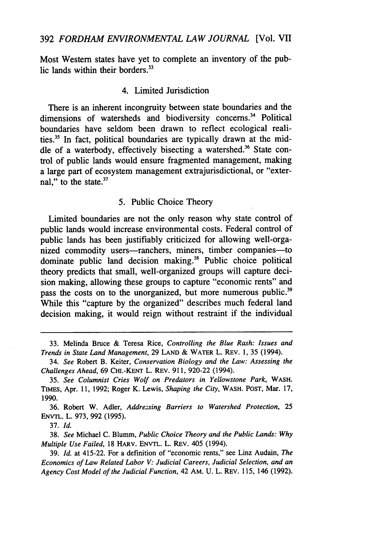Most Western states have yet to complete an inventory of the public lands within their borders.<sup>33</sup>

# 4. Limited Jurisdiction

There is an inherent incongruity between state boundaries and the dimensions of watersheds and biodiversity concerns.<sup>34</sup> Political boundaries have seldom been drawn to reflect ecological realities.35 In fact, political boundaries are typically drawn at the middle of a waterbody, effectively bisecting a watershed.<sup>36</sup> State control of public lands would ensure fragmented management, making a large part of ecosystem management extrajurisdictional, or "external," to the state.<sup>37</sup>

## 5. Public Choice Theory

Limited boundaries are not the only reason why state control of public lands would increase environmental costs. Federal control of public lands has been justifiably criticized for allowing well-organized commodity users—ranchers, miners, timber companies—to dominate public land decision making.38 Public choice political theory predicts that small, well-organized groups will capture decision making, allowing these groups to capture "economic rents" and pass the costs on to the unorganized, but more numerous public.<sup>39</sup> While this "capture by the organized" describes much federal land decision making, it would reign without restraint if the individual

37. *Id.*

38. *See* Michael C. Blumm, *Public Choice Theory and the Public Lands: Why Multiple Use Failed,* 18 HARV. ENVTL. L. REv. 405 (1994).

<sup>33.</sup> Melinda Bruce & Teresa Rice, *Controlling the Blue Rash: Issues and Trends in State Land Management,* 29 LAND & WATER L. REV. 1, 35 (1994).

<sup>34.</sup> *See* Robert B. Keiter, *Conservation Biology* and *the Law: Assessing the Challenges Ahead,* 69 CHi.-KENT L. REv. 911, 920-22 (1994).

<sup>35.</sup> *See Columnist Cries Wolf on Predators in Yellowstone Park,* WASH. TIMES, Apr. 11, 1992; Roger K. Lewis, *Shaping the City,* WASH. **POST,** Mar. 17, 1990.

<sup>36.</sup> Robert W. Adler, *Addressing Barriers to Watershed Protection, 25* ENVTL. L. 973, 992 (1995).

<sup>39.</sup> *Id.* at 415-22. For a definition of "economic rents," see Linz Audain, *The Economics of Law Related Labor V: Judicial Careers, Judicial Selection, and an Agency Cost Model of the Judicial Function,* 42 AM. U. L. REv. 115, 146 (1992).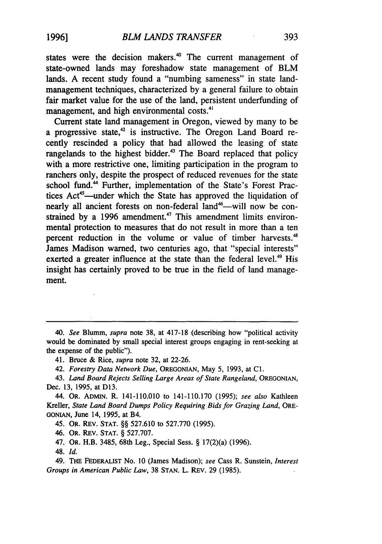states were the decision makers. $40$  The current management of state-owned lands may foreshadow state management of BLM lands. A recent study found a "numbing sameness" in state landmanagement techniques, characterized by a general failure to obtain fair market value for the use of the land, persistent underfunding of management, and high environmental costs.<sup>41</sup>

Current state land management in Oregon, viewed by many to be a progressive state, $42$  is instructive. The Oregon Land Board recently rescinded a policy that had allowed the leasing of state rangelands to the highest bidder.<sup>43</sup> The Board replaced that policy with a more restrictive one, limiting participation in the program to ranchers only, despite the prospect of reduced revenues for the state school fund.<sup>44</sup> Further, implementation of the State's Forest Practices Act<sup>45</sup>—under which the State has approved the liquidation of nearly all ancient forests on non-federal land<sup>46</sup>—will now be constrained by a 1996 amendment.<sup>47</sup> This amendment limits environmental protection to measures that do not result in more than a ten percent reduction in the volume or value of timber harvests.<sup>48</sup> James Madison warned, two centuries ago, that "special interests" exerted a greater influence at the state than the federal level.<sup>49</sup> His insight has certainly proved to be true in the field of land management.

*40. See* Blumm, *supra* note 38, at 417-18 (describing how "political activity would be dominated by small special interest groups engaging in rent-seeking at the expense of the public").

41. Bruce & Rice, *supra* note 32, at 22-26.

42. *Forestry Data Network Due,* OREGONIAN, May 5, 1993, at **Cl.**

43. *Land Board Rejects Selling Large Areas of State Rangeland,* OREGONIAN, Dec. 13, 1995, at D13.

44. OR. ADMIN. R. 141-110.010 to 141-110.170 (1995); *see also* Kathleen Kreller, *State Land Board Dumps Policy Requiring Bids for Grazing Land,* ORE-GONIAN, June 14, 1995, at B4.

45. OR. REV. STAT. §§ 527.610 to 527.770 (1995).

46. OR. REV. STAT. § 527.707.

47. OR. H.B. 3485, 68th Leg., Special Sess. § 17(2)(a) (1996).

48. *Id.*

49. THE FEDERALIST No. **10** (James Madison); *see* Cass R. Sunstein, *Interest Groups in American Public Law,* 38 **STAN.** L. REv. 29 (1985).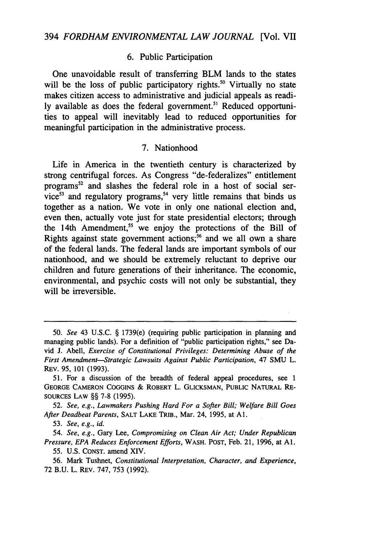# 6. Public Participation

One unavoidable result of transferring BLM lands to the states will be the loss of public participatory rights.<sup>50</sup> Virtually no state makes citizen access to administrative and judicial appeals as readily available as does the federal government.<sup>51</sup> Reduced opportunities to appeal will inevitably lead to reduced opportunities for meaningful participation in the administrative process.

### 7. Nationhood

Life in America in the twentieth century is characterized by strong centrifugal forces. As Congress "de-federalizes" entitlement programs<sup>52</sup> and slashes the federal role in a host of social service<sup>53</sup> and regulatory programs,<sup>54</sup> very little remains that binds us together as a nation. We vote in only one national election and, even then, actually vote just for state presidential electors; through the 14th Amendment,<sup>55</sup> we enjoy the protections of the Bill of Rights against state government actions;<sup>56</sup> and we all own a share of the federal lands. The federal lands are important symbols of our nationhood, and we should be extremely reluctant to deprive our children and future generations of their inheritance. The economic, environmental, and psychic costs will not only be substantial, they will be irreversible.

<sup>50.</sup> *See* 43 U.S.C. § 1739(e) (requiring public participation in planning and managing public lands). For a definition of "public participation rights," see David J. Abell, *Exercise of Constitutional Privileges: Determining Abuse of the First Amendment-Strategic Lawsuits Against Public Participation,* 47 **SMU** L. REv. **95,** 101 (1993).

<sup>51.</sup> For a discussion of the breadth of federal appeal procedures, see 1 GEORGE CAMERON COGGINS & ROBERT L. GLICKSMAN, PUBLIC NATURAL RE-SOURCES LAW §§ 7-8 (1995).

<sup>52.</sup> *See, e.g., Lawmakers Pushing Hard For a Softer Bill; Welfare Bill Goes After Deadbeat Parents,* SALT LAKE TRIB., Mar. 24, 1995, at **Al.**

<sup>53.</sup> *See, e.g., id.*

*<sup>54.</sup> See, e.g.,* Gary Lee, *Compromising on Clean Air Act; Under Republican Pressure, EPA Reduces Enforcement Efforts,* WASH. POST, Feb. 21, 1996, at **Al.** 55. U.S. CONST. amend XIV.

<sup>56.</sup> Mark Tushnet, *Constitutional Interpretation, Character, and Experience,* 72 B.U. L. REv. 747, 753 (1992).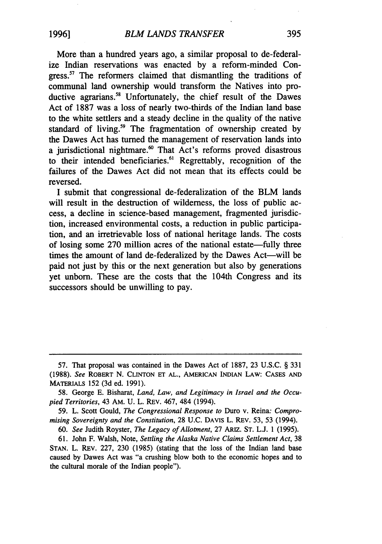More than a hundred years ago, a similar proposal to de-federalize Indian reservations was enacted by a reform-minded Congress.<sup>57</sup> The reformers claimed that dismantling the traditions of communal land ownership would transform the Natives into productive agrarians.<sup>58</sup> Unfortunately, the chief result of the Dawes Act of 1887 was a loss of nearly two-thirds of the Indian land base to the white settlers and a steady decline in the quality of the native standard of living.<sup>59</sup> The fragmentation of ownership created by the Dawes Act has turned the management of reservation lands into a jurisdictional nightmare. $60$  That Act's reforms proved disastrous to their intended beneficiaries.<sup>61</sup> Regrettably, recognition of the failures of the Dawes Act did not mean that its effects could be reversed.

I submit that congressional de-federalization of the BLM lands will result in the destruction of wilderness, the loss of public access, a decline in science-based management, fragmented jurisdiction, increased environmental costs, a reduction in public participation, and an irretrievable loss of national heritage lands. The costs of losing some 270 million acres of the national estate—fully three times the amount of land de-federalized by the Dawes Act—will be paid not just by this or the next generation but also by generations yet unborn. These are the costs that the 104th Congress and its successors should be unwilling to pay.

<sup>57.</sup> That proposal was contained in the Dawes Act of 1887, 23 U.S.C. § 331 (1988). *See* ROBERT N. **CLINTON ET AL., AMERICAN** INDIAN LAW: **CASES AND** MATERIALS 152 (3d ed. 1991).

<sup>58.</sup> George E. Bisharat, *Land, Law, and Legitimacy in Israel and the Occupied Territories,* 43 AM. U. L. REv. 467, 484 (1994).

<sup>59.</sup> L. Scott Gould, *The Congressional Response to* Duro v. Reina: *Compromising Sovereignty and the Constitution,* 28 U.C. DAVIS L. REv. 53, 53 (1994).

<sup>60.</sup> *See* Judith Royster, *The Legacy of Allotment,* 27 ARIZ. **ST.** L.J. 1 (1995).

<sup>61.</sup> John F. Walsh, Note, *Settling the Alaska Native Claims Settlement Act,* 38 STAN. L. REv. 227, 230 (1985) (stating that the loss of the Indian land base caused by Dawes Act was "a crushing blow both to the economic hopes and to the cultural morale of the Indian people").